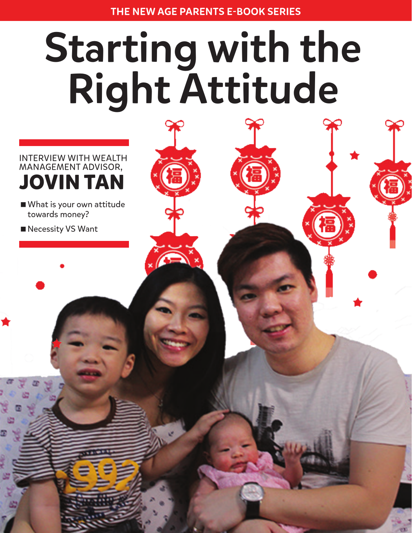# Starting with the Right Attitude

INTERVIEW WITH WEALTH MANAGEMENT ADVISOR, **JOVIN TAN**

- What is your own attitude towards money?
- Necessity VS Want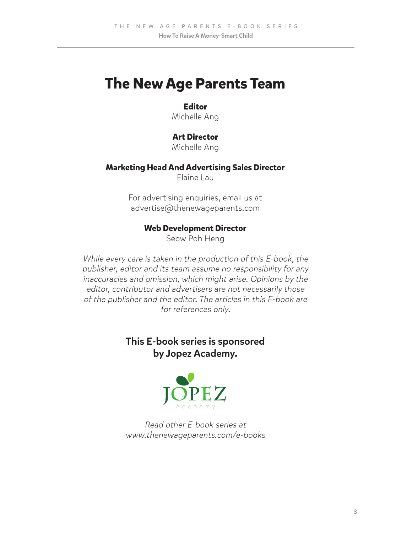## **The New Age Parents Team**

#### **Editor**

Michelle Ang

#### **Art Director**

Michelle Ang

#### **Marketing Head And Advertising Sales Director**

Elaine Lau

For advertising enquiries, email us at advertise@thenewageparents.com

#### **Web Development Director**

Seow Poh Heng

While every care is taken in the production of this E-book, the publisher, editor and its team assume no responsibility for any inaccuracies and omission, which might arise. Opinions by the editor, contributor and advertisers are not necessarily those of the publisher and the editor. The articles in this E-book are for references only.

### This E-book series is sponsored by Jopez Academy.



Read other E-book series at www.thenewageparents.com/e-books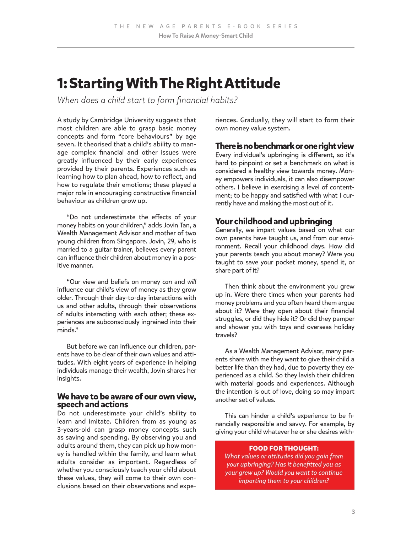## **1: Starting With The Right Attitude**

*When does a child start to form financial habits?* 

A study by Cambridge University suggests that most children are able to grasp basic money concepts and form "core behaviours" by age seven. It theorised that a child's ability to manage complex financial and other issues were greatly influenced by their early experiences provided by their parents. Experiences such as learning how to plan ahead, how to reflect, and how to regulate their emotions; these played a major role in encouraging constructive financial behaviour as children grow up.

"Do not underestimate the effects of your money habits on your children," adds Jovin Tan, a Wealth Management Advisor and mother of two young children from Singapore. Jovin, 29, who is married to a guitar trainer, believes every parent can influence their children about money in a positive manner.

"Our view and beliefs on money *can* and *will* influence our child's view of money as they grow older. Through their day-to-day interactions with us and other adults, through their observations of adults interacting with each other; these experiences are subconsciously ingrained into their minds."

But before we can influence our children, parents have to be clear of their own values and attitudes. With eight years of experience in helping individuals manage their wealth, Jovin shares her insights.

#### **We have to be aware of our own view, speech and actions**

Do not underestimate your child's ability to learn and imitate. Children from as young as 3-years-old can grasp money concepts such as saving and spending. By observing you and adults around them, they can pick up how money is handled within the family, and learn what adults consider as important. Regardless of whether you consciously teach your child about these values, they will come to their own conclusions based on their observations and experiences. Gradually, they will start to form their own money value system.

#### **There is no benchmark or one right view**

Every individual's upbringing is different, so it's hard to pinpoint or set a benchmark on what is considered a healthy view towards money. Money empowers individuals, it can also disempower others. I believe in exercising a level of contentment; to be happy and satisfied with what I currently have and making the most out of it.

#### **Your childhood and upbringing**

Generally, we impart values based on what our own parents have taught us, and from our environment. Recall your childhood days. How did your parents teach you about money? Were you taught to save your pocket money, spend it, or share part of it?

Then think about the environment you grew up in. Were there times when your parents had money problems and you often heard them argue about it? Were they open about their financial struggles, or did they hide it? Or did they pamper and shower you with toys and overseas holiday travels?

As a Wealth Management Advisor, many parents share with me they want to give their child a better life than they had, due to poverty they experienced as a child. So they lavish their children with material goods and experiences. Although the intention is out of love, doing so may impart another set of values.

This can hinder a child's experience to be financially responsible and savvy. For example, by giving your child whatever he or she desires with-

#### **FOOD FOR THOUGHT:**

*What values or attitudes did you gain from your upbringing? Has it benefitted you as your grew up? Would you want to continue imparting them to your children?*